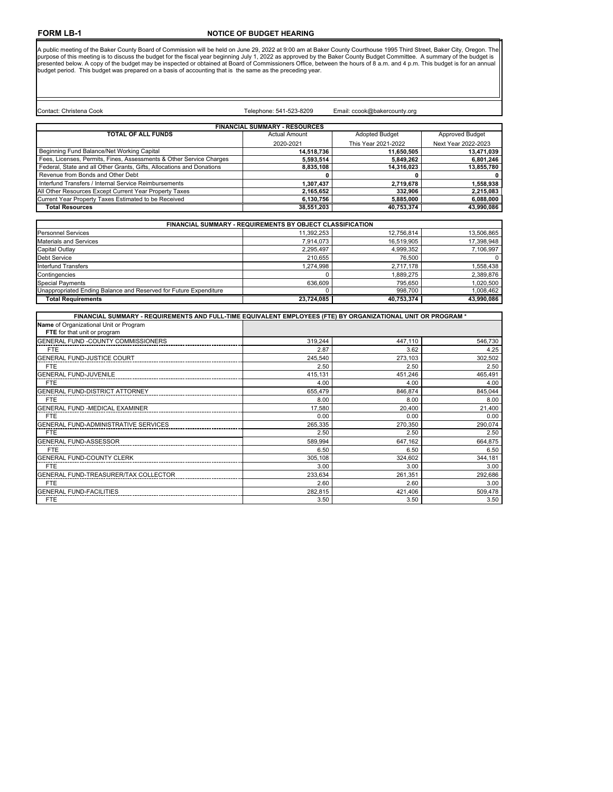## **NOTICE OF BUDGET HEARING**

A public meeting of the Baker County Board of Commission will be held on June 29, 2022 at 9:00 am at Baker County Courthouse 1995 Third Street, Baker City, Oregon. The purpose of this meeting is to discuss the budget for t

| Contact: Christena Cook                                               | Telephone: 541-523-8209            | Email: ccook@bakercounty.org |                        |
|-----------------------------------------------------------------------|------------------------------------|------------------------------|------------------------|
|                                                                       | <b>FINANCIAL SUMMARY RESOURCES</b> |                              |                        |
| <b>TOTAL OF ALL FUNDS</b>                                             | <b>Actual Amount</b>               | <b>Adopted Budget</b>        | <b>Approved Budget</b> |
|                                                                       | 2020-2021                          | This Year 2021-2022          | Next Year 2022-2023    |
| Beginning Fund Balance/Net Working Capital                            | 14.518.736                         | 11,650,505                   | 13,471,039             |
| Fees, Licenses, Permits, Fines, Assessments & Other Service Charges   | 5,593,514                          | 5,849,262                    | 6,801,246              |
| Federal, State and all Other Grants, Gifts, Allocations and Donations | 8,835,108                          | 14.316.023                   | 13,855,780             |
| Revenue from Bonds and Other Debt                                     |                                    |                              | 0                      |
| Interfund Transfers / Internal Service Reimbursements                 | 1,307,437                          | 2,719,678                    | 1,558,938              |
| All Other Resources Except Current Year Property Taxes                | 2.165.652                          | 332.906                      | 2,215,083              |
| Current Year Property Taxes Estimated to be Received                  | 6,130,756                          | 5,885,000                    | 6,088,000              |
| <b>Total Resources</b>                                                | 38,551,203                         | 40,753,374                   | 43,990,086             |
|                                                                       |                                    |                              |                        |

| <b>FINANCIAL SUMMARY - REQUIREMENTS BY OBJECT CLASSIFICATION</b>  |            |            |            |
|-------------------------------------------------------------------|------------|------------|------------|
| <b>Personnel Services</b>                                         | 11.392.253 | 12.756.814 | 13.506.865 |
| <b>Materials and Services</b>                                     | 7.914.073  | 16.519.905 | 17.398.948 |
| Capital Outlay                                                    | 2.295.497  | 4,999,352  | 7,106,997  |
| <b>Debt Service</b>                                               | 210.655    | 76.500     |            |
| <b>Interfund Transfers</b>                                        | 1.274.998  | 2.717.178  | 1.558.438  |
| Contingencies                                                     |            | 1.889.275  | 2,389,876  |
| <b>Special Payments</b>                                           | 636.609    | 795.650    | 1.020.500  |
| Unappropriated Ending Balance and Reserved for Future Expenditure |            | 998.700    | 1.008.462  |
| <b>Total Requirements</b>                                         | 23.724.085 | 40.753.374 | 43.990.086 |

| FINANCIAL SUMMARY - REQUIREMENTS AND FULL-TIME EQUIVALENT EMPLOYEES (FTE) BY ORGANIZATIONAL UNIT OR PROGRAM * |         |         |         |
|---------------------------------------------------------------------------------------------------------------|---------|---------|---------|
| Name of Organizational Unit or Program                                                                        |         |         |         |
| FTE for that unit or program                                                                                  |         |         |         |
| GENERAL FUND -COUNTY COMMISSIONERS                                                                            | 319,244 | 447.110 | 546,730 |
| <b>FTE</b>                                                                                                    | 2.87    | 3.62    | 4.25    |
| <b>GENERAL FUND-JUSTICE COURT</b>                                                                             | 245,540 | 273,103 | 302,502 |
| <b>FTE</b>                                                                                                    | 2.50    | 2.50    | 2.50    |
| <b>GENERAL FUND-JUVENILE</b>                                                                                  | 415.131 | 451,246 | 465,491 |
| <b>FTE</b>                                                                                                    | 4.00    | 4.00    | 4.00    |
| <b>GENERAL FUND-DISTRICT ATTORNEY</b>                                                                         | 655,479 | 846,874 | 845,044 |
| <b>FTE</b>                                                                                                    | 8.00    | 8.00    | 8.00    |
| GENERAL FUND -MEDICAL EXAMINER                                                                                | 17.580  | 20.400  | 21,400  |
| <b>FTE</b>                                                                                                    | 0.00    | 0.00    | 0.00    |
| GENERAL FUND-ADMINISTRATIVE SERVICES                                                                          | 265,335 | 270.350 | 290,074 |
| <b>FTE</b>                                                                                                    | 2.50    | 2.50    | 2.50    |
| <b>GENERAL FUND-ASSESSOR</b>                                                                                  | 589,994 | 647.162 | 664,875 |
| <b>FTE</b>                                                                                                    | 6.50    | 6.50    | 6.50    |
| <b>GENERAL FUND-COUNTY CLERK</b>                                                                              | 305,108 | 324,602 | 344,181 |
| <b>FTE</b>                                                                                                    | 3.00    | 3.00    | 3.00    |
| GENERAL FUND-TREASURER/TAX COLLECTOR                                                                          | 233,634 | 261,351 | 292,686 |
| <b>FTE</b>                                                                                                    | 2.60    | 2.60    | 3.00    |
| <b>GENERAL FUND-FACILITIES</b>                                                                                | 282,815 | 421,406 | 509,478 |
| <b>FTE</b>                                                                                                    | 3.50    | 3.50    | 3.50    |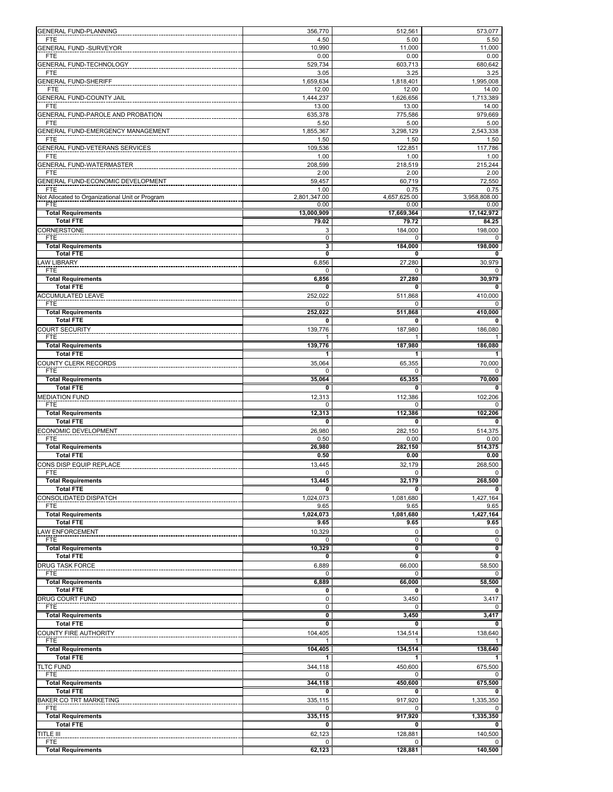|                                                 | 356,770                 | 512,561                 | 573,077                             |
|-------------------------------------------------|-------------------------|-------------------------|-------------------------------------|
| <b>GENERAL FUND-PLANNING</b>                    |                         |                         |                                     |
| <b>FTE</b>                                      | 4.50                    | 5.00                    | 5.50                                |
| <b>GENERAL FUND -SURVEYOR</b>                   | 10,990                  | 11,000                  | 11,000                              |
| <b>FTE</b>                                      | 0.00                    | 0.00                    | 0.00                                |
| <b>GENERAL FUND-TECHNOLOGY</b>                  | 529,734                 | 603,713                 | 680,642                             |
| <b>FTE</b>                                      | 3.05                    | 3.25                    | 3.25                                |
| <b>GENERAL FUND-SHERIFF</b>                     | 1,659,634               | 1,818,401               | 1,995,008                           |
| <b>FTE</b>                                      | 12.00                   | 12.00                   | 14.00                               |
| GENERAL FUND-COUNTY JAIL                        | 1,444,237               | 1,626,656               | 1,713,389                           |
| <b>FTE</b>                                      | 13.00                   | 13.00                   | 14.00                               |
| GENERAL FUND-PAROLE AND PROBATION               | 635,378                 | 775,586                 | 979,669                             |
| <b>FTE</b>                                      | 5.50                    | 5.00                    | 5.00                                |
| GENERAL FUND-EMERGENCY MANAGEMENT               | 1,855,367               | 3,298,129               | 2,543,338                           |
| FTE                                             | 1.50                    | 1.50                    | 1.50                                |
| GENERAL FUND-VETERANS SERVICES                  | 109,536                 | 122,851                 | 117,786                             |
| <b>FTE</b>                                      | 1.00                    | 1.00                    | 1.00                                |
| <b>GENERAL FUND-WATERMASTER</b>                 | 208,599                 | 218,519                 | 215,244                             |
| <b>FTE</b>                                      | 2.00                    | 2.00                    | 2.00                                |
| <b>GENERAL FUND-ECONOMIC DEVELOPMENT</b>        | 59,457                  | 60,719                  | 72,550                              |
| <b>FTE</b>                                      | 1.00                    | 0.75                    | 0.75                                |
| Not Allocated to Organizational Unit or Program | 2,801,347.00            | 4,657,625.00            | 3,958,808.00                        |
| <b>FTE</b>                                      | 0.00                    | 0.00                    | 0.00                                |
| <b>Total Requirements</b>                       | 13,000,909              | 17,669,364              | 17,142,972                          |
| <b>Total FTE</b>                                | 79.02                   | 79.72                   | 84.25                               |
| CORNERSTONE                                     | 3                       | 184,000                 | 198,000                             |
| <b>FTE</b>                                      | 0                       | 0                       | 0                                   |
| <b>Total Requirements</b>                       | 3                       | 184,000                 | 198,000                             |
| <b>Total FTE</b>                                | $\mathbf 0$             | 0                       | 0                                   |
| <b>AW LIBRARY</b>                               | 6,856                   | 27,280                  | 30,979                              |
| <b>FTE</b>                                      | 0                       | 0                       | 0                                   |
| <b>Total Requirements</b>                       | 6,856                   | 27,280                  | 30,979                              |
| <b>Total FTE</b>                                | 0                       | 0                       | 0                                   |
| <b>ACCUMULATED LEAVE</b>                        |                         | 511,868                 | 410,000                             |
| <b>FTE</b>                                      | 252,022                 | 0                       |                                     |
| <b>Total Requirements</b>                       | 0<br>252,022            |                         | 0                                   |
|                                                 |                         | 511,868                 | 410,000                             |
| <b>Total FTE</b>                                | $\overline{\mathbf{0}}$ | $\overline{\mathbf{0}}$ | $\overline{\mathbf{0}}$             |
| COURT SECURITY                                  | 139,776                 | 187,980                 | 186,080                             |
| <b>FTE</b>                                      | 1                       | 1                       | 1                                   |
| <b>Total Requirements</b>                       | 139,776                 | 187,980                 | 186,080                             |
| <b>Total FTE</b>                                | $\overline{1}$          | $\overline{1}$          | $\overline{1}$                      |
| COUNTY CLERK RECORDS                            | 35,064                  | 65,355                  | 70,000                              |
| <b>FTE</b>                                      | 0                       | $\mathbf 0$             | 0                                   |
| <b>Total Requirements</b>                       | 35,064                  | 65,355                  | 70,000                              |
| <b>Total FTE</b>                                | 0                       | 0                       | 0                                   |
| <b>MEDIATION FUND</b>                           | 12,313                  | 112,386                 | 102,206                             |
| <b>FTE</b>                                      | 0                       | $\mathbf 0$             | 0                                   |
|                                                 |                         |                         |                                     |
|                                                 |                         |                         |                                     |
| <b>Total Requirements</b>                       | 12,313                  | 112,386                 | 102,206                             |
| <b>Total FTE</b>                                | 0                       | 0                       | $\overline{\mathbf{0}}$             |
| <b>ECONOMIC DEVELOPMENT</b>                     | 26,980                  | 282,150                 | 514,375                             |
| <b>FTE</b>                                      | 0.50                    | 0.00                    | 0.00                                |
| <b>Total Requirements</b>                       | 26,980                  | 282,150                 | 514,375                             |
| <b>Total FTE</b>                                | 0.50                    | 0.00                    | 0.00                                |
| CONS DISP EQUIP REPLACE                         | 13,445                  | 32,179                  | 268,500                             |
| <b>FTE</b>                                      | $\mathbf 0$             | $\mathbf 0$             |                                     |
| <b>Total Requirements</b>                       | 13,445                  | 32,179                  | 268,500                             |
| <b>Total FTE</b>                                | $\overline{\mathbf{0}}$ | $\overline{\mathbf{0}}$ | $\overline{\mathbf{0}}$             |
| CONSOLIDATED DISPATCH                           | 1,024,073               | 1,081,680               | 1,427,164                           |
| FTE.                                            | 9.65                    | 9.65                    | 9.65                                |
| <b>Total Requirements</b>                       | 1,024,073               | 1,081,680               |                                     |
| <b>Total FTE</b>                                | 9.65                    | 9.65                    | 9.65                                |
| AW ENFORCEMENT                                  | 10,329                  | 0                       | 0                                   |
| <b>FTE</b>                                      | 0                       | 0                       | $\pmb{0}$                           |
| <b>Total Requirements</b>                       | 10,329                  | 0                       | $\overline{\mathfrak{o}}$           |
| <b>Total FTE</b>                                | 0                       | 0                       | 0                                   |
|                                                 | 6,889                   | 66,000                  | $\mathbf{0}$<br>1,427,164<br>58,500 |
| <b>DRUG TASK FORCE</b><br><b>FTE</b>            | 0                       | 0                       | 0                                   |
|                                                 |                         |                         |                                     |
| <b>Total Requirements</b>                       | 6,889                   | 66,000                  | 58,500                              |
| <b>Total FTE</b>                                | 0                       | 0                       | 0                                   |
| DRUG COURT FUND                                 | $\pmb{0}$               | 3,450                   | 3,417                               |
| FTE                                             | 0                       | 0                       | 0                                   |
| <b>Total Requirements</b>                       | 0                       | 3,450                   | 3,417                               |
| <b>Total FTE</b>                                | 0                       | 0                       | 0                                   |
| COUNTY FIRE AUTHORITY                           | 104,405                 | 134,514                 | 138,640                             |
| <b>FTE</b>                                      | 1                       | 1                       | 1                                   |
| <b>Total Requirements</b>                       | 104,405                 | 134,514                 | 138,640                             |
| <b>Total FTE</b>                                | 1                       | 1                       | 1                                   |
| <b>TLTC FUND</b>                                | 344,118                 | 450,600                 | 675,500                             |
| FTE                                             | 0                       |                         |                                     |
| <b>Total Requirements</b>                       | 344,118                 | 450,600                 | 675,500                             |
| <b>Total FTE</b>                                | 0                       | 0                       | 0                                   |
| <b>BAKER CO TRT MARKETING</b>                   | 335,115                 | 917,920                 | 1,335,350                           |
| <b>FTE</b>                                      | 0                       | <sup>0</sup>            | 0                                   |
| <b>Total Requirements</b>                       | 335,115                 | 917,920                 | 1,335,350                           |
| <b>Total FTE</b>                                | 0                       | 0                       | 0                                   |
| TITLE III                                       | 62,123                  | 128,881                 | 140,500                             |
| <b>FTE</b>                                      | 0                       | 0                       | 0<br>140,500                        |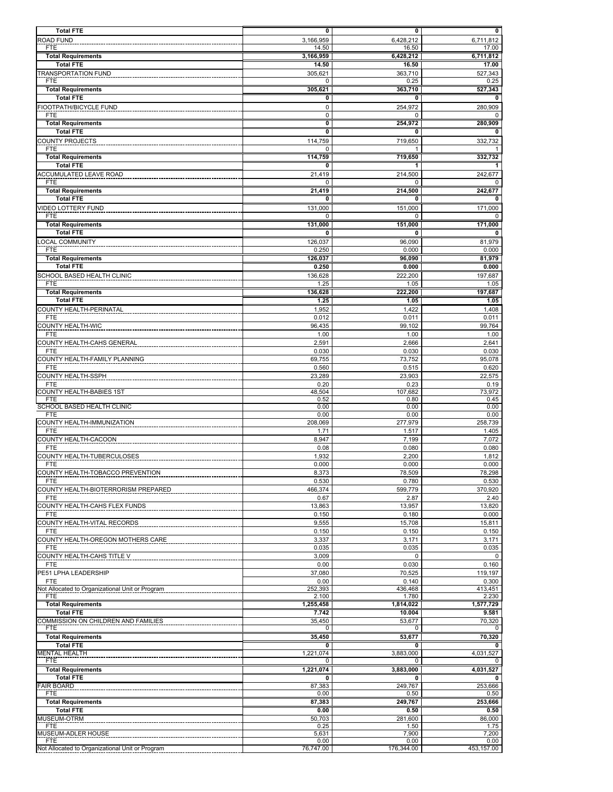| <b>Total FTE</b><br><b>ROAD FUND</b>              | 0<br>3,166,959               | 0<br>6,428,212     | 0<br>6,711,812     |
|---------------------------------------------------|------------------------------|--------------------|--------------------|
| FTE                                               | 14.50                        | 16.50              | 17.00              |
| <b>Total Requirements</b>                         | 3,166,959                    | 6,428,212          | 6,711,812          |
| <b>Total FTE</b><br>TRANSPORTATION FUND           | 14.50<br>305,621             | 16.50<br>363,710   | 17.00<br>527,343   |
| <b>FTE</b>                                        | 0                            | 0.25               | 0.25               |
| <b>Total Requirements</b><br><b>Total FTE</b>     | 305,621<br>0                 | 363,710<br>0       | 527,343            |
| FIOOTPATH/BICYCLE FUND                            | $\mathbf 0$                  | 254,972            | 280,909            |
| <b>FTE</b>                                        | $\mathbf 0$                  | 0                  |                    |
| <b>Total Requirements</b><br><b>Total FTE</b>     | 0<br>$\overline{\mathbf{0}}$ | 254.972<br>0       | 280,909            |
| COUNTY PROJECTS                                   | 114,759                      | 719,650            | 332,732            |
| <b>FTE</b>                                        | 0                            |                    |                    |
| <b>Total Requirements</b><br><b>Total FTE</b>     | 114,759<br>0                 | 719,650<br>1       | 332,732            |
| ACCUMULATED LEAVE ROAD                            | 21,419                       | 214,500            | 242,677            |
| <b>FTE</b>                                        | 0                            | 0                  |                    |
| <b>Total Requirements</b><br><b>Total FTE</b>     | 21,419<br>0                  | 214,500<br>0       | 242,677<br>0       |
| <b>VIDEO LOTTERY FUND</b>                         | 131,000                      | 151,000            | 171,000            |
| <b>FTE</b>                                        | 0                            | 0                  | 0                  |
| <b>Total Requirements</b><br><b>Total FTE</b>     | 131,000<br>0                 | 151,000<br>0       | 171.000<br>0       |
| OCAL COMMUNITY                                    | 126,037                      | 96,090             | 81.979             |
| <b>FTE</b>                                        | 0.250                        | 0.000              | 0.000              |
| <b>Total Requirements</b><br><b>Total FTE</b>     | 126,037<br>0.250             | 96,090<br>0.000    | 81,979<br>0.000    |
| SCHOOL BASED HEALTH CLINIC                        | 136,628                      | 222,200            | 197,687            |
| <b>FTE</b>                                        | 1.25                         | 1.05               | 1.05               |
| <b>Total Requirements</b><br><b>Total FTE</b>     | 136,628<br>1.25              | 222,200<br>1.05    | 197,687<br>1.05    |
| COUNTY HEALTH-PERINATAL                           | 1,952                        | 1,422              | 1,408              |
| <b>FTE</b>                                        | 0.012                        | 0.011              | 0.011              |
| COUNTY HEALTH-WIC<br><b>FTE</b>                   | 96,435<br>1.00               | 99,102<br>1.00     | 99,764<br>1.00     |
| COUNTY HEALTH-CAHS GENERAL                        | 2,591                        | 2,666              | 2,641              |
| <b>FTE</b>                                        | 0.030                        | 0.030              | 0.030              |
| COUNTY HEALTH-FAMILY PLANNING<br><b>FTE</b>       | 69,755<br>0.560              | 73,752<br>0.515    | 95,078<br>0.620    |
| COUNTY HEALTH-SSPH                                | 23,289                       | 23,903             | 22,575             |
| FTE                                               | 0.20                         | 0.23               | 0.19               |
| <b>COUNTY HEALTH-BABIES 1ST</b><br><b>FTE</b>     | 48,504<br>0.52               | 107,682<br>0.80    | 73,972<br>0.45     |
| SCHOOL BASED HEALTH CLINIC                        | 0.00                         | 0.00               | 0.00<br>0.00       |
| <b>FTE</b><br>COUNTY HEALTH-IMMUNIZATION          | 0.00<br>208,069              | 0.00<br>277,979    | 258,739            |
| <b>FTE</b>                                        | 1.71                         | 1.517              | 1.405              |
| COUNTY HEALTH-CACOON<br><b>FTE</b>                | 8,947<br>0.08                | 7,199<br>0.080     | 7,072<br>0.080     |
| COUNTY HEALTH-TUBERCULOSES                        | 1,932                        | 2,200              | 1,812              |
| FTE                                               | 0.000                        | 0.000              | 0.000              |
| COUNTY HEALTH-TOBACCO PREVENTION<br><b>FTE</b>    | 8,373<br>0.530               | 78,509<br>0.780    | 78,298<br>0.530    |
| COUNTY HEALTH-BIOTERRORISM PREPARED               | 466,374                      | 599,779            | 370,920            |
| <b>FTE</b>                                        | 0.67                         | 2.87               | 2.40               |
| COUNTY HEALTH-CAHS FLEX FUNDS<br><b>FTE</b>       | 13,863<br>0.150              | 13,957<br>0.180    | 13,820<br>0.000    |
| COUNTY HEALTH-VITAL RECORDS                       | 9,555                        | 15,708             | 15,811             |
| <b>FTE</b>                                        | 0.150                        | 0.150              | 0.150              |
| COUNTY HEALTH-OREGON MOTHERS CARE<br><b>FTE</b>   | 3,337<br>0.035               | 3,171<br>0.035     | 3,171<br>0.035     |
| COUNTY HEALTH-CAHS TITLE V                        | 3,009                        | 0                  | $\mathbf 0$        |
| FTE                                               | 0.00                         | 0.030              | 0.160              |
| PE51 LPHA LEADERSHIP<br><b>FTE</b>                | 37,080<br>0.00               | 70,525<br>0.140    | 119,197<br>0.300   |
| Not Allocated to Organizational Unit or Program   | 252,393                      | 436,468            | 413,451            |
| <b>FTE</b><br><b>Total Requirements</b>           | 2.100<br>1,255,458           | 1.780<br>1,814,022 | 2.230<br>1,577,729 |
| <b>Total FTE</b>                                  | 7.742                        | 10.004             | 9.581              |
| COMMISSION ON CHILDREN AND FAMILIES<br><b>FTE</b> | 35,450<br>0                  | 53,677<br>0        | 70,320<br>0        |
| <b>Total Requirements</b>                         | 35,450                       | 53,677             | 70,320             |
| <b>Total FTE</b>                                  | 0                            | 0                  | 0                  |
| <b>MENTAL HEALTH</b><br><b>FTE</b>                | 1,221,074<br>0               | 3,883,000<br>0     | 4,031,527<br>0     |
| <b>Total Requirements</b>                         | 1,221,074                    | 3,883,000          | 4,031,527          |
| <b>Total FTE</b><br><b>FAIR BOARD</b>             | 0                            | 0                  | 0                  |
| <b>FTE</b>                                        | 87,383<br>0.00               | 249,767<br>0.50    | 253,666<br>0.50    |
| <b>Total Requirements</b>                         | 87,383                       | 249,767            | 253,666            |
| <b>Total FTE</b><br>MUSEUM-OTRM                   | 0.00<br>50,703               | 0.50<br>281,600    | 0.50<br>86,000     |
| <b>FTE</b>                                        | 0.25                         | 1.50               | 1.75               |
| MUSEUM-ADLER HOUSE<br><b>FTE</b>                  | 5,631<br>0.00                | 7,900<br>0.00      | 7,200<br>0.00      |
| Not Allocated to Organizational Unit or Program   | 76,747.00                    | 176,344.00         | 453,157.00         |